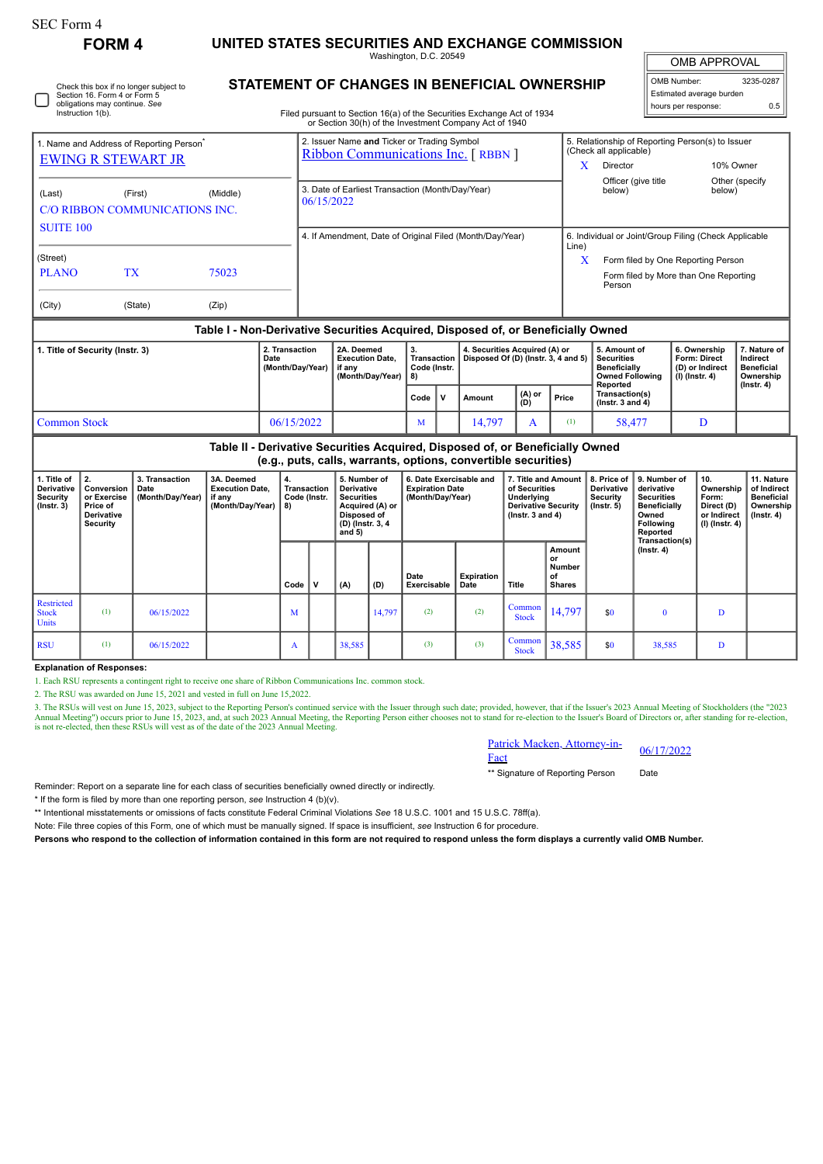| SEC Form 4 |  |
|------------|--|
| ----       |  |

## **FORM 4 UNITED STATES SECURITIES AND EXCHANGE COMMISSION**

Washington, D.C. 20549

OMB APPROVAL

| OMB Number:              | 3235-0287 |
|--------------------------|-----------|
| Estimated average burden |           |
| hours per response:      | 0.5       |

| ப | Check this box if no longer subject to<br>Section 16. Form 4 or Form 5<br>obligations may continue. See<br>Instruction 1(b). |
|---|------------------------------------------------------------------------------------------------------------------------------|
|---|------------------------------------------------------------------------------------------------------------------------------|

## **STATEMENT OF CHANGES IN BENEFICIAL OWNERSHIP**

Filed pursuant to Section 16(a) of the Securities Exchange Act of 1934 or Section 30(h) of the Investment Company Act of 1940

|                                                                  |                                                                       |                                            |                                                                                  |          |                                                                                          |     |                                                                                                                   |                     |                                                                       | or Section 30(h) of the Investment Company Act of 1940         |                                                                                                            |                                                      |                                                                            |                                                                                                   |                                                            |                                                                            |                                                                                 |  |
|------------------------------------------------------------------|-----------------------------------------------------------------------|--------------------------------------------|----------------------------------------------------------------------------------|----------|------------------------------------------------------------------------------------------|-----|-------------------------------------------------------------------------------------------------------------------|---------------------|-----------------------------------------------------------------------|----------------------------------------------------------------|------------------------------------------------------------------------------------------------------------|------------------------------------------------------|----------------------------------------------------------------------------|---------------------------------------------------------------------------------------------------|------------------------------------------------------------|----------------------------------------------------------------------------|---------------------------------------------------------------------------------|--|
| 1. Name and Address of Reporting Person <sup>®</sup>             |                                                                       |                                            |                                                                                  |          | 2. Issuer Name and Ticker or Trading Symbol<br><b>Ribbon Communications Inc.</b> [RBBN ] |     |                                                                                                                   |                     |                                                                       |                                                                |                                                                                                            |                                                      | 5. Relationship of Reporting Person(s) to Issuer<br>(Check all applicable) |                                                                                                   |                                                            |                                                                            |                                                                                 |  |
| <b>EWING R STEWART JR</b>                                        |                                                                       |                                            |                                                                                  |          |                                                                                          |     |                                                                                                                   |                     |                                                                       |                                                                |                                                                                                            | X<br>Director                                        |                                                                            |                                                                                                   | 10% Owner                                                  |                                                                            |                                                                                 |  |
| (Last)                                                           | (Middle)<br>(First)<br>C/O RIBBON COMMUNICATIONS INC.                 |                                            |                                                                                  |          |                                                                                          |     | 3. Date of Earliest Transaction (Month/Day/Year)<br>06/15/2022                                                    |                     |                                                                       |                                                                |                                                                                                            |                                                      |                                                                            |                                                                                                   |                                                            | Other (specify<br>below)                                                   |                                                                                 |  |
|                                                                  |                                                                       |                                            |                                                                                  |          |                                                                                          |     |                                                                                                                   |                     |                                                                       |                                                                |                                                                                                            |                                                      |                                                                            |                                                                                                   |                                                            |                                                                            |                                                                                 |  |
| <b>SUITE 100</b>                                                 |                                                                       |                                            |                                                                                  |          | 4. If Amendment, Date of Original Filed (Month/Day/Year)                                 |     |                                                                                                                   |                     |                                                                       |                                                                |                                                                                                            |                                                      | 6. Individual or Joint/Group Filing (Check Applicable<br>Line)             |                                                                                                   |                                                            |                                                                            |                                                                                 |  |
| (Street)                                                         |                                                                       |                                            |                                                                                  |          |                                                                                          |     |                                                                                                                   |                     |                                                                       |                                                                |                                                                                                            |                                                      | X                                                                          |                                                                                                   |                                                            | Form filed by One Reporting Person                                         |                                                                                 |  |
| <b>PLANO</b>                                                     | <b>TX</b>                                                             |                                            | 75023                                                                            |          |                                                                                          |     |                                                                                                                   |                     |                                                                       |                                                                |                                                                                                            | Form filed by More than One Reporting<br>Person      |                                                                            |                                                                                                   |                                                            |                                                                            |                                                                                 |  |
| (City)                                                           |                                                                       | (State)                                    | (Zip)                                                                            |          |                                                                                          |     |                                                                                                                   |                     |                                                                       |                                                                |                                                                                                            |                                                      |                                                                            |                                                                                                   |                                                            |                                                                            |                                                                                 |  |
|                                                                  |                                                                       |                                            | Table I - Non-Derivative Securities Acquired, Disposed of, or Beneficially Owned |          |                                                                                          |     |                                                                                                                   |                     |                                                                       |                                                                |                                                                                                            |                                                      |                                                                            |                                                                                                   |                                                            |                                                                            |                                                                                 |  |
| 1. Title of Security (Instr. 3)<br>Date                          |                                                                       |                                            | 2. Transaction<br>(Month/Day/Year)                                               |          | 2A. Deemed<br><b>Execution Date.</b><br>if any<br>(Month/Day/Year)                       |     | 3.<br><b>Transaction</b><br>Code (Instr.<br>8)                                                                    |                     | 4. Securities Acquired (A) or<br>Disposed Of (D) (Instr. 3, 4 and 5)  |                                                                | 5. Amount of<br><b>Securities</b><br><b>Beneficially</b><br><b>Owned Following</b>                         |                                                      | $(I)$ (Instr. 4)                                                           | 6. Ownership<br>Form: Direct<br>(D) or Indirect                                                   | 7. Nature of<br>Indirect<br><b>Beneficial</b><br>Ownership |                                                                            |                                                                                 |  |
|                                                                  |                                                                       |                                            |                                                                                  |          |                                                                                          |     | Code                                                                                                              | v                   | Amount                                                                | (A) or<br>(D)                                                  | Price                                                                                                      | Reported<br>Transaction(s)<br>(Instr. $3$ and $4$ )  |                                                                            |                                                                                                   |                                                            | $($ Instr. 4 $)$                                                           |                                                                                 |  |
| <b>Common Stock</b>                                              |                                                                       |                                            | 06/15/2022                                                                       |          |                                                                                          | M   |                                                                                                                   | 14,797<br>A         |                                                                       | (1)                                                            | 58,477                                                                                                     |                                                      |                                                                            | D                                                                                                 |                                                            |                                                                            |                                                                                 |  |
|                                                                  |                                                                       |                                            | Table II - Derivative Securities Acquired, Disposed of, or Beneficially Owned    |          |                                                                                          |     |                                                                                                                   |                     |                                                                       | (e.g., puts, calls, warrants, options, convertible securities) |                                                                                                            |                                                      |                                                                            |                                                                                                   |                                                            |                                                                            |                                                                                 |  |
| 1. Title of<br><b>Derivative</b><br>Security<br>$($ Instr. 3 $)$ | 2.<br>Conversion<br>or Exercise<br>Price of<br>Derivative<br>Security | 3. Transaction<br>Date<br>(Month/Day/Year) | 3A. Deemed<br><b>Execution Date.</b><br>if any<br>(Month/Day/Year)               | 4.<br>8) | <b>Transaction</b><br>Code (Instr.                                                       |     | 5. Number of<br>Derivative<br><b>Securities</b><br>Acquired (A) or<br>Disposed of<br>(D) (Instr. 3, 4<br>and $5)$ |                     | 6. Date Exercisable and<br><b>Expiration Date</b><br>(Month/Day/Year) |                                                                | 7. Title and Amount<br>of Securities<br>Underlying<br><b>Derivative Security</b><br>$($ lnstr. 3 and 4 $)$ |                                                      | 8. Price of<br><b>Derivative</b><br>Security<br>$($ Instr. 5 $)$           | 9. Number of<br>derivative<br><b>Securities</b><br>Beneficially<br>Owned<br>Following<br>Reported |                                                            | 10.<br>Ownership<br>Form:<br>Direct (D)<br>or Indirect<br>$(I)$ (Instr. 4) | 11. Nature<br>of Indirect<br><b>Beneficial</b><br>Ownership<br>$($ lnstr. 4 $)$ |  |
|                                                                  |                                                                       |                                            |                                                                                  | Code     | v                                                                                        | (A) | (D)                                                                                                               | Date<br>Exercisable |                                                                       | <b>Expiration</b><br>Date                                      | Title                                                                                                      | Amount<br>or<br><b>Number</b><br>οf<br><b>Shares</b> |                                                                            | Transaction(s)<br>(Instr. 4)                                                                      |                                                            |                                                                            |                                                                                 |  |
| <b>Restricted</b>                                                |                                                                       |                                            |                                                                                  |          |                                                                                          |     |                                                                                                                   |                     |                                                                       |                                                                |                                                                                                            |                                                      |                                                                            |                                                                                                   |                                                            |                                                                            |                                                                                 |  |

**Explanation of Responses:**

Stock Units

1. Each RSU represents a contingent right to receive one share of Ribbon Communications Inc. common stock.

2. The RSU was awarded on June 15, 2021 and vested in full on June 15,2022.

3. The RSUs will vest on June 15, 2023, subject to the Reporting Person's continued service with the Issuer through such date; provided, however, that if the Issuer's 2023 Annual Meeting of Stockholders (the "2023 Annual M

## Patrick Macken, Attorney-in-<br>Fact

\*\* Signature of Reporting Person Date

Reminder: Report on a separate line for each class of securities beneficially owned directly or indirectly.

\* If the form is filed by more than one reporting person, *see* Instruction 4 (b)(v).

\*\* Intentional misstatements or omissions of facts constitute Federal Criminal Violations *See* 18 U.S.C. 1001 and 15 U.S.C. 78ff(a).

RSU (1)  $0.06/15/2022$  A 38,585 (3) (3) Common Common Common Common Common Common Common Common Common Common Common Common Common Common Common Common Common Common Common Common Common Common Common Common Common Common

(1)  $0.6/15/2022$  M 14,797 (2) (2) Common

Note: File three copies of this Form, one of which must be manually signed. If space is insufficient, *see* Instruction 6 for procedure.

**Persons who respond to the collection of information contained in this form are not required to respond unless the form displays a currently valid OMB Number.**

 $\begin{array}{|c|c|c|c|c|c|}\n\hline \text{Common} & 14,797 & \text{so} & 0 & \text{D} \end{array}$ 

 $\begin{array}{|c|c|c|c|c|c|c|c|} \hline \text{50} & 38,585 & \text{D} \\ \hline \text{Stock} & 38,585 & \text{D} \end{array}$